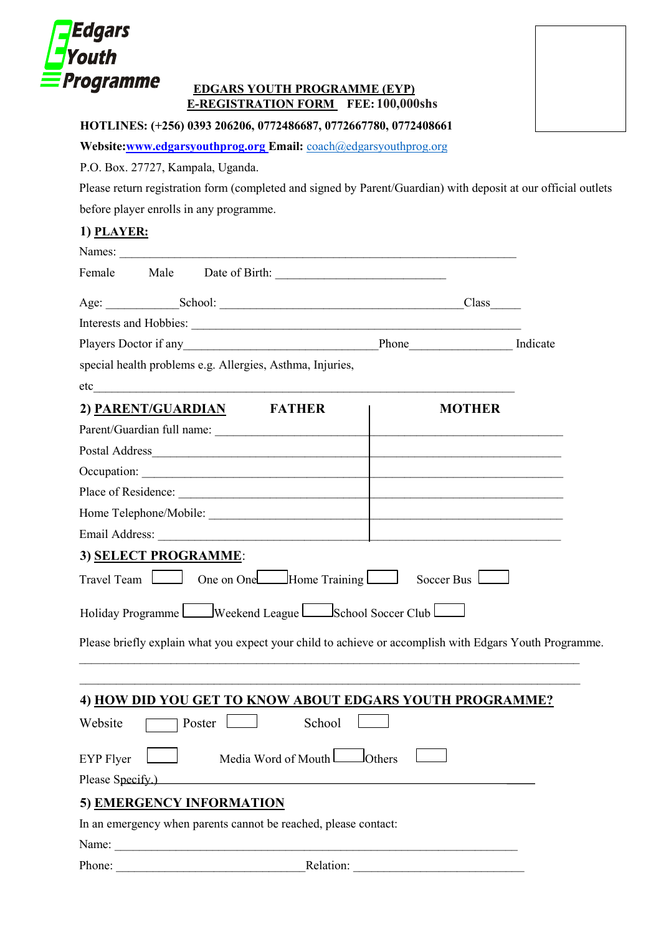

## **EDGARS YOUTH PROGRAMME (EYP) E-REGISTRATION FORM FEE: 50,000shs 100,000shs**

**HOTLINES: (+256) 0393 206206, 0772486687, 0772667780, 0772408661** 

**Website:www.edgarsyouthprog.org Email:** coach@edgarsyouthprog.org

P.O. Box. 27727, Kampala, Uganda.

Please return registration form (completed and signed by Parent/Guardian) with deposit at our official outlets before player enrolls in any programme.

## **1) PLAYER:**

|                  |                          | special health problems e.g. Allergies, Asthma, Injuries,       |                                                                                                         |  |
|------------------|--------------------------|-----------------------------------------------------------------|---------------------------------------------------------------------------------------------------------|--|
| etc              |                          |                                                                 |                                                                                                         |  |
|                  |                          | 2) PARENT/GUARDIAN FATHER                                       | <b>MOTHER</b>                                                                                           |  |
|                  |                          | Parent/Guardian full name:                                      |                                                                                                         |  |
|                  |                          |                                                                 |                                                                                                         |  |
|                  |                          |                                                                 |                                                                                                         |  |
|                  |                          |                                                                 |                                                                                                         |  |
|                  |                          |                                                                 |                                                                                                         |  |
|                  |                          |                                                                 |                                                                                                         |  |
|                  | 3) SELECT PROGRAMME:     |                                                                 |                                                                                                         |  |
|                  |                          |                                                                 | Travel Team <u>Due</u> One on One Home Training Soccer Bus                                              |  |
|                  |                          | Holiday Programme Weekend League School Soccer Club             |                                                                                                         |  |
|                  |                          |                                                                 | Please briefly explain what you expect your child to achieve or accomplish with Edgars Youth Programme. |  |
|                  |                          |                                                                 |                                                                                                         |  |
|                  |                          |                                                                 | 4) HOW DID YOU GET TO KNOW ABOUT EDGARS YOUTH PROGRAMME?                                                |  |
| Website          | Poster                   | School                                                          |                                                                                                         |  |
| <b>EYP</b> Flyer |                          | Media Word of Mouth                                             | $J$ Others                                                                                              |  |
| Please Specify.) |                          |                                                                 |                                                                                                         |  |
|                  | 5) EMERGENCY INFORMATION |                                                                 |                                                                                                         |  |
|                  |                          | In an emergency when parents cannot be reached, please contact: |                                                                                                         |  |
|                  | Name:                    |                                                                 |                                                                                                         |  |
| Phone:           |                          | Relation:                                                       |                                                                                                         |  |